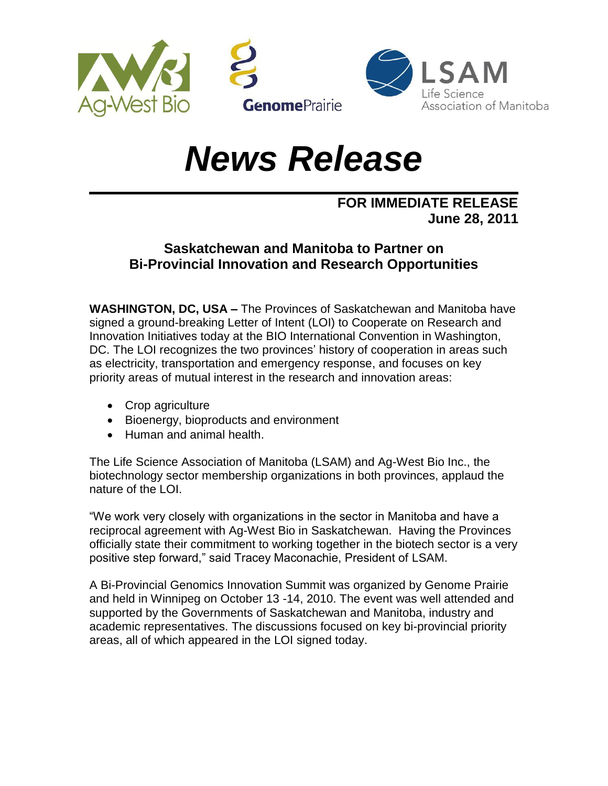

## *News Release*

## **FOR IMMEDIATE RELEASE June 28, 2011**

## **Saskatchewan and Manitoba to Partner on Bi-Provincial Innovation and Research Opportunities**

**WASHINGTON, DC, USA –** The Provinces of Saskatchewan and Manitoba have signed a ground-breaking Letter of Intent (LOI) to Cooperate on Research and Innovation Initiatives today at the BIO International Convention in Washington, DC. The LOI recognizes the two provinces' history of cooperation in areas such as electricity, transportation and emergency response, and focuses on key priority areas of mutual interest in the research and innovation areas:

- Crop agriculture
- Bioenergy, bioproducts and environment
- Human and animal health.

The Life Science Association of Manitoba (LSAM) and Ag-West Bio Inc., the biotechnology sector membership organizations in both provinces, applaud the nature of the LOI.

"We work very closely with organizations in the sector in Manitoba and have a reciprocal agreement with Ag-West Bio in Saskatchewan. Having the Provinces officially state their commitment to working together in the biotech sector is a very positive step forward," said Tracey Maconachie, President of LSAM.

A Bi-Provincial Genomics Innovation Summit was organized by Genome Prairie and held in Winnipeg on October 13 -14, 2010. The event was well attended and supported by the Governments of Saskatchewan and Manitoba, industry and academic representatives. The discussions focused on key bi-provincial priority areas, all of which appeared in the LOI signed today.